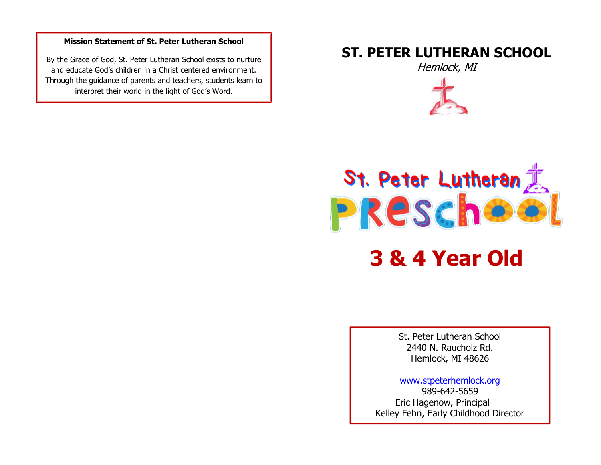#### **Mission Statement of St. Peter Lutheran School**

By the Grace of God, St. Peter Lutheran School exists to nurture and educate God's children in a Christ centered environment. Through the guidance of parents and teachers, students learn to interpret their world in the light of God's Word.

## **ST. PETER LUTHERAN SCHOOL**

Hemlock, MI





**3 & 4 Year Old**

St. Peter Lutheran School 2440 N. Raucholz Rd. Hemlock, MI 48626

[www.stpeterhemlock.org](http://www.stpeterhemlock.org/) 989-642-5659 Eric Hagenow, Principal Kelley Fehn, Early Childhood Director